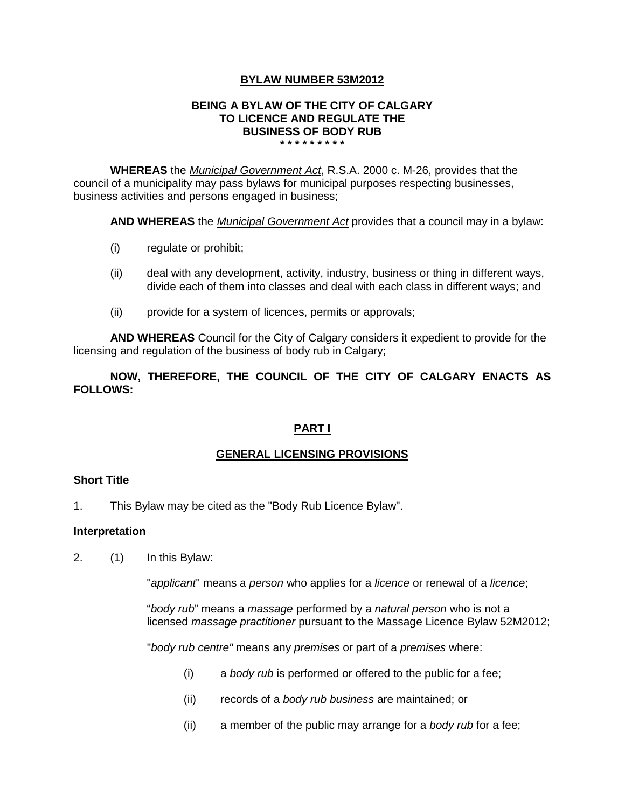# **BYLAW NUMBER 53M2012**

#### **BEING A BYLAW OF THE CITY OF CALGARY TO LICENCE AND REGULATE THE BUSINESS OF BODY RUB \* \* \* \* \* \* \* \* \***

**WHEREAS** the *Municipal Government Act*, R.S.A. 2000 c. M-26, provides that the council of a municipality may pass bylaws for municipal purposes respecting businesses, business activities and persons engaged in business;

**AND WHEREAS** the *Municipal Government Act* provides that a council may in a bylaw:

- (i) regulate or prohibit;
- (ii) deal with any development, activity, industry, business or thing in different ways, divide each of them into classes and deal with each class in different ways; and
- (ii) provide for a system of licences, permits or approvals;

**AND WHEREAS** Council for the City of Calgary considers it expedient to provide for the licensing and regulation of the business of body rub in Calgary;

**NOW, THEREFORE, THE COUNCIL OF THE CITY OF CALGARY ENACTS AS FOLLOWS:**

# **PART I**

# **GENERAL LICENSING PROVISIONS**

### **Short Title**

1. This Bylaw may be cited as the "Body Rub Licence Bylaw".

### **Interpretation**

2. (1) In this Bylaw:

"*applicant*" means a *person* who applies for a *licence* or renewal of a *licence*;

"*body rub*" means a *massage* performed by a *natural person* who is not a licensed *massage practitioner* pursuant to the Massage Licence Bylaw 52M2012;

"*body rub centre"* means any *premises* or part of a *premises* where:

- (i) a *body rub* is performed or offered to the public for a fee;
- (ii) records of a *body rub business* are maintained; or
- (ii) a member of the public may arrange for a *body rub* for a fee;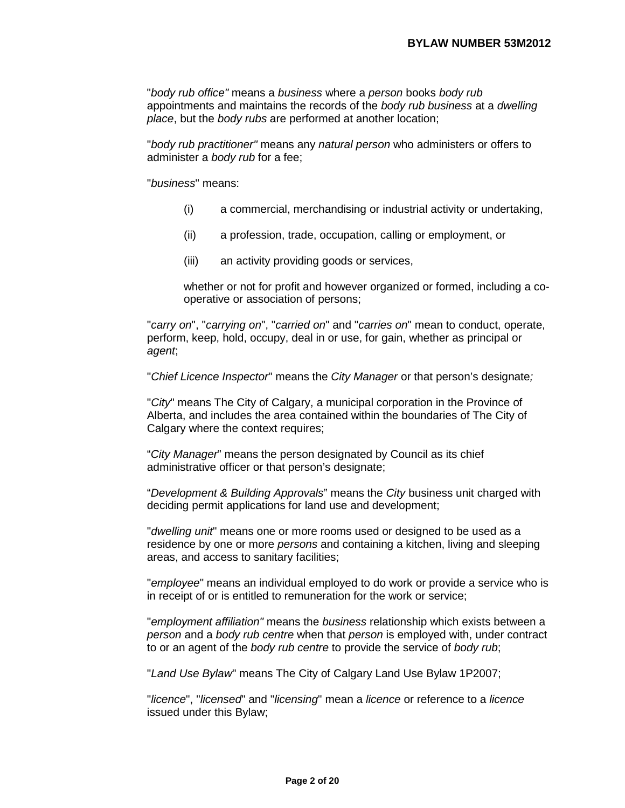"*body rub office"* means a *business* where a *person* books *body rub* appointments and maintains the records of the *body rub business* at a *dwelling place*, but the *body rubs* are performed at another location;

"*body rub practitioner"* means any *natural person* who administers or offers to administer a *body rub* for a fee;

"*business*" means:

- (i) a commercial, merchandising or industrial activity or undertaking,
- (ii) a profession, trade, occupation, calling or employment, or
- (iii) an activity providing goods or services,

whether or not for profit and however organized or formed, including a cooperative or association of persons;

"*carry on*", "*carrying on*", "*carried on*" and "*carries on*" mean to conduct, operate, perform, keep, hold, occupy, deal in or use, for gain, whether as principal or *agent*;

"*Chief Licence Inspector*" means the *City Manager* or that person's designate*;*

"*City*" means The City of Calgary, a municipal corporation in the Province of Alberta, and includes the area contained within the boundaries of The City of Calgary where the context requires;

"*City Manager*" means the person designated by Council as its chief administrative officer or that person's designate;

"*Development & Building Approvals*" means the *City* business unit charged with deciding permit applications for land use and development;

"*dwelling unit*" means one or more rooms used or designed to be used as a residence by one or more *persons* and containing a kitchen, living and sleeping areas, and access to sanitary facilities;

"*employee*" means an individual employed to do work or provide a service who is in receipt of or is entitled to remuneration for the work or service;

"*employment affiliation"* means the *business* relationship which exists between a *person* and a *body rub centre* when that *person* is employed with, under contract to or an agent of the *body rub centre* to provide the service of *body rub*;

"*Land Use Bylaw*" means The City of Calgary Land Use Bylaw 1P2007;

"*licence*", "*licensed*" and "*licensing*" mean a *licence* or reference to a *licence*  issued under this Bylaw;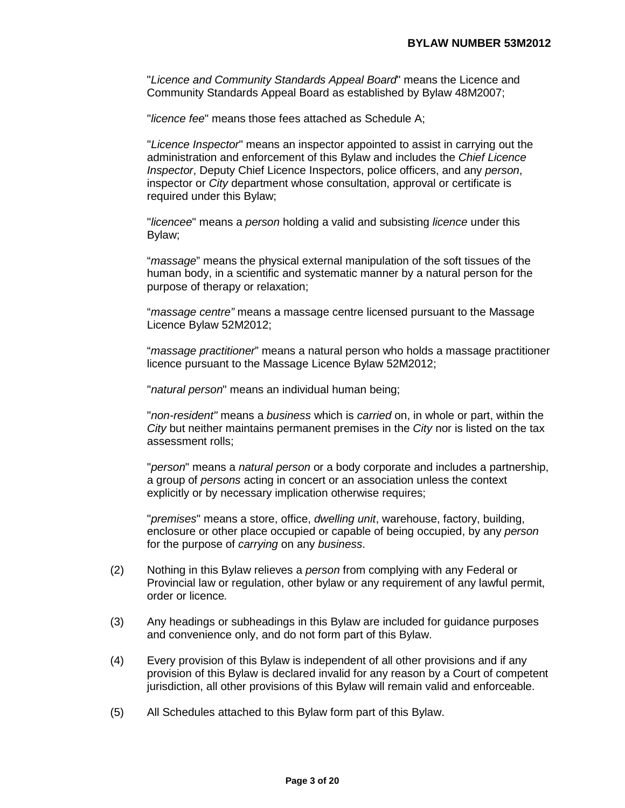"*Licence and Community Standards Appeal Board*" means the Licence and Community Standards Appeal Board as established by Bylaw 48M2007;

"*licence fee*" means those fees attached as Schedule A;

"*Licence Inspector*" means an inspector appointed to assist in carrying out the administration and enforcement of this Bylaw and includes the *Chief Licence Inspector*, Deputy Chief Licence Inspectors, police officers, and any *person*, inspector or *City* department whose consultation, approval or certificate is required under this Bylaw;

"*licencee*" means a *person* holding a valid and subsisting *licence* under this Bylaw;

"*massage*" means the physical external manipulation of the soft tissues of the human body, in a scientific and systematic manner by a natural person for the purpose of therapy or relaxation;

"*massage centre"* means a massage centre licensed pursuant to the Massage Licence Bylaw 52M2012;

"*massage practitioner*" means a natural person who holds a massage practitioner licence pursuant to the Massage Licence Bylaw 52M2012;

"*natural person*" means an individual human being;

"*non-resident"* means a *business* which is *carried* on, in whole or part, within the *City* but neither maintains permanent premises in the *City* nor is listed on the tax assessment rolls;

"*person*" means a *natural person* or a body corporate and includes a partnership, a group of *persons* acting in concert or an association unless the context explicitly or by necessary implication otherwise requires;

"*premises*" means a store, office, *dwelling unit*, warehouse, factory, building, enclosure or other place occupied or capable of being occupied, by any *person*  for the purpose of *carrying* on any *business*.

- (2) Nothing in this Bylaw relieves a *person* from complying with any Federal or Provincial law or regulation, other bylaw or any requirement of any lawful permit, order or licence*.*
- (3) Any headings or subheadings in this Bylaw are included for guidance purposes and convenience only, and do not form part of this Bylaw.
- (4) Every provision of this Bylaw is independent of all other provisions and if any provision of this Bylaw is declared invalid for any reason by a Court of competent jurisdiction, all other provisions of this Bylaw will remain valid and enforceable.
- (5) All Schedules attached to this Bylaw form part of this Bylaw.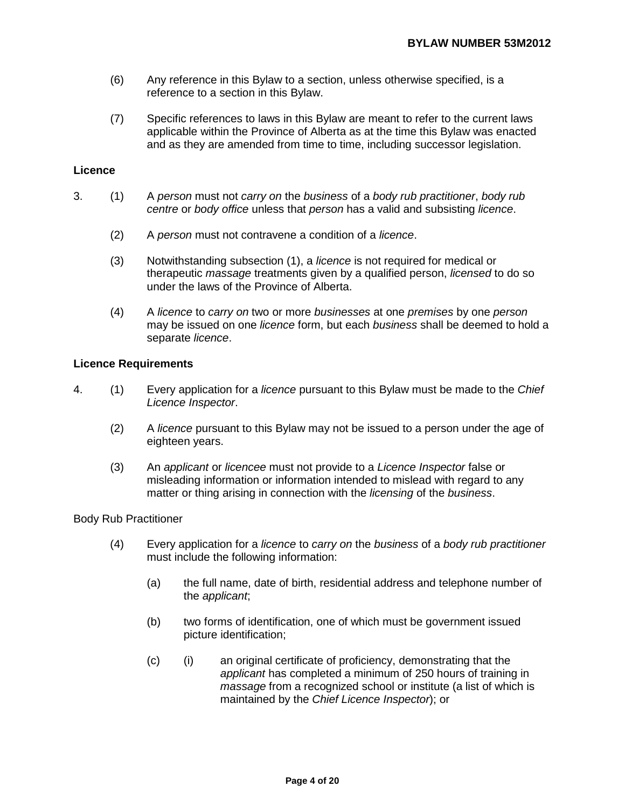- (6) Any reference in this Bylaw to a section, unless otherwise specified, is a reference to a section in this Bylaw.
- (7) Specific references to laws in this Bylaw are meant to refer to the current laws applicable within the Province of Alberta as at the time this Bylaw was enacted and as they are amended from time to time, including successor legislation.

### **Licence**

- 3. (1) A *person* must not *carry on* the *business* of a *body rub practitioner*, *body rub centre* or *body office* unless that *person* has a valid and subsisting *licence*.
	- (2) A *person* must not contravene a condition of a *licence*.
	- (3) Notwithstanding subsection (1), a *licence* is not required for medical or therapeutic *massage* treatments given by a qualified person, *licensed* to do so under the laws of the Province of Alberta.
	- (4) A *licence* to *carry on* two or more *businesses* at one *premises* by one *person*  may be issued on one *licence* form, but each *business* shall be deemed to hold a separate *licence*.

### **Licence Requirements**

- 4. (1) Every application for a *licence* pursuant to this Bylaw must be made to the *Chief Licence Inspector*.
	- (2) A *licence* pursuant to this Bylaw may not be issued to a person under the age of eighteen years.
	- (3) An *applicant* or *licencee* must not provide to a *Licence Inspector* false or misleading information or information intended to mislead with regard to any matter or thing arising in connection with the *licensing* of the *business*.

Body Rub Practitioner

- (4) Every application for a *licence* to *carry on* the *business* of a *body rub practitioner*  must include the following information:
	- (a) the full name, date of birth, residential address and telephone number of the *applicant*;
	- (b) two forms of identification, one of which must be government issued picture identification;
	- (c) (i) an original certificate of proficiency, demonstrating that the *applicant* has completed a minimum of 250 hours of training in *massage* from a recognized school or institute (a list of which is maintained by the *Chief Licence Inspector*); or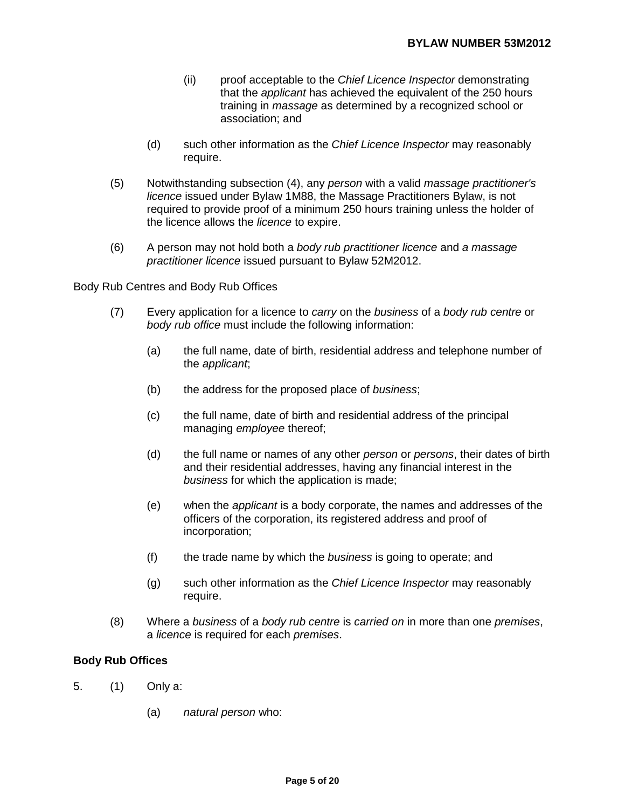- (ii) proof acceptable to the *Chief Licence Inspector* demonstrating that the *applicant* has achieved the equivalent of the 250 hours training in *massage* as determined by a recognized school or association; and
- (d) such other information as the *Chief Licence Inspector* may reasonably require.
- (5) Notwithstanding subsection (4), any *person* with a valid *massage practitioner's licence* issued under Bylaw 1M88, the Massage Practitioners Bylaw, is not required to provide proof of a minimum 250 hours training unless the holder of the licence allows the *licence* to expire.
- (6) A person may not hold both a *body rub practitioner licence* and *a massage practitioner licence* issued pursuant to Bylaw 52M2012.

Body Rub Centres and Body Rub Offices

- (7) Every application for a licence to *carry* on the *business* of a *body rub centre* or *body rub office* must include the following information:
	- (a) the full name, date of birth, residential address and telephone number of the *applicant*;
	- (b) the address for the proposed place of *business*;
	- (c) the full name, date of birth and residential address of the principal managing *employee* thereof;
	- (d) the full name or names of any other *person* or *persons*, their dates of birth and their residential addresses, having any financial interest in the *business* for which the application is made;
	- (e) when the *applicant* is a body corporate, the names and addresses of the officers of the corporation, its registered address and proof of incorporation;
	- (f) the trade name by which the *business* is going to operate; and
	- (g) such other information as the *Chief Licence Inspector* may reasonably require.
- (8) Where a *business* of a *body rub centre* is *carried on* in more than one *premises*, a *licence* is required for each *premises*.

### **Body Rub Offices**

- 5. (1) Only a:
	- (a) *natural person* who: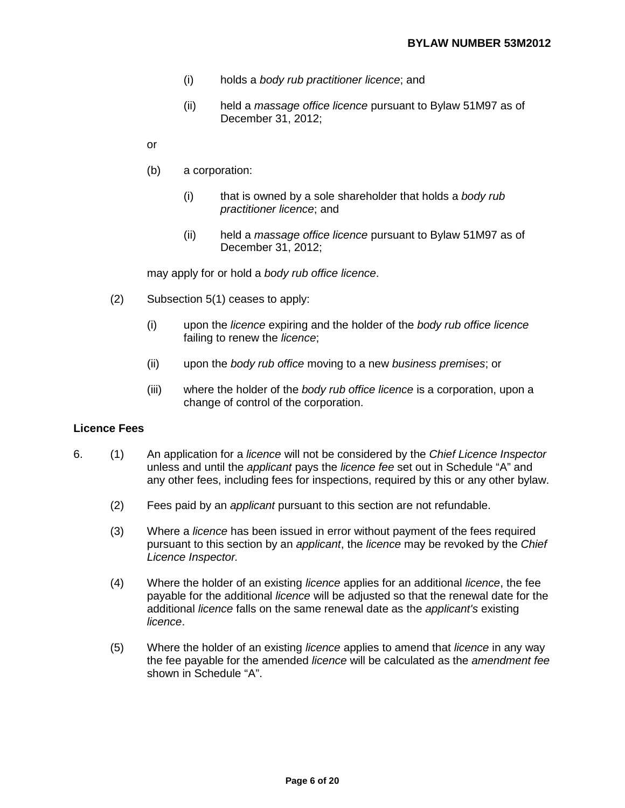- (i) holds a *body rub practitioner licence*; and
- (ii) held a *massage office licence* pursuant to Bylaw 51M97 as of December 31, 2012;
- or
- (b) a corporation:
	- (i) that is owned by a sole shareholder that holds a *body rub practitioner licence*; and
	- (ii) held a *massage office licence* pursuant to Bylaw 51M97 as of December 31, 2012;

may apply for or hold a *body rub office licence*.

- (2) Subsection 5(1) ceases to apply:
	- (i) upon the *licence* expiring and the holder of the *body rub office licence* failing to renew the *licence*;
	- (ii) upon the *body rub office* moving to a new *business premises*; or
	- (iii) where the holder of the *body rub office licence* is a corporation, upon a change of control of the corporation.

### **Licence Fees**

- 6. (1) An application for a *licence* will not be considered by the *Chief Licence Inspector* unless and until the *applicant* pays the *licence fee* set out in Schedule "A" and any other fees, including fees for inspections, required by this or any other bylaw.
	- (2) Fees paid by an *applicant* pursuant to this section are not refundable.
	- (3) Where a *licence* has been issued in error without payment of the fees required pursuant to this section by an *applicant*, the *licence* may be revoked by the *Chief Licence Inspector.*
	- (4) Where the holder of an existing *licence* applies for an additional *licence*, the fee payable for the additional *licence* will be adjusted so that the renewal date for the additional *licence* falls on the same renewal date as the *applicant's* existing *licence*.
	- (5) Where the holder of an existing *licence* applies to amend that *licence* in any way the fee payable for the amended *licence* will be calculated as the *amendment fee*  shown in Schedule "A".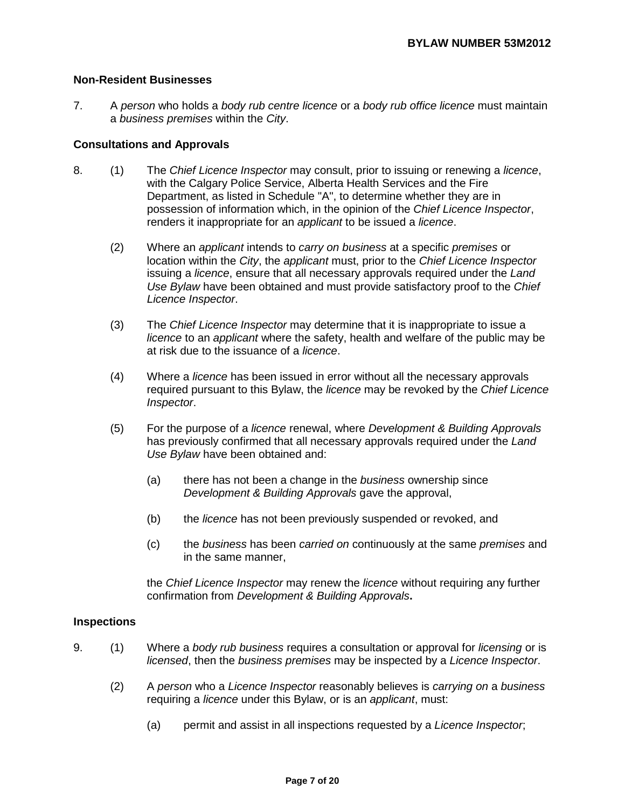## **Non-Resident Businesses**

7. A *person* who holds a *body rub centre licence* or a *body rub office licence* must maintain a *business premises* within the *City*.

#### **Consultations and Approvals**

- 8. (1) The *Chief Licence Inspector* may consult, prior to issuing or renewing a *licence*, with the Calgary Police Service, Alberta Health Services and the Fire Department, as listed in Schedule "A", to determine whether they are in possession of information which, in the opinion of the *Chief Licence Inspector*, renders it inappropriate for an *applicant* to be issued a *licence*.
	- (2) Where an *applicant* intends to *carry on business* at a specific *premises* or location within the *City*, the *applicant* must, prior to the *Chief Licence Inspector*  issuing a *licence*, ensure that all necessary approvals required under the *Land Use Bylaw* have been obtained and must provide satisfactory proof to the *Chief Licence Inspector*.
	- (3) The *Chief Licence Inspector* may determine that it is inappropriate to issue a *licence* to an *applicant* where the safety, health and welfare of the public may be at risk due to the issuance of a *licence*.
	- (4) Where a *licence* has been issued in error without all the necessary approvals required pursuant to this Bylaw, the *licence* may be revoked by the *Chief Licence Inspector*.
	- (5) For the purpose of a *licence* renewal, where *Development & Building Approvals*  has previously confirmed that all necessary approvals required under the *Land Use Bylaw* have been obtained and:
		- (a) there has not been a change in the *business* ownership since *Development & Building Approvals* gave the approval,
		- (b) the *licence* has not been previously suspended or revoked, and
		- (c) the *business* has been *carried on* continuously at the same *premises* and in the same manner,

the *Chief Licence Inspector* may renew the *licence* without requiring any further confirmation from *Development & Building Approvals***.** 

#### **Inspections**

- 9. (1) Where a *body rub business* requires a consultation or approval for *licensing* or is *licensed*, then the *business premises* may be inspected by a *Licence Inspector*.
	- (2) A *person* who a *Licence Inspector* reasonably believes is *carrying on* a *business*  requiring a *licence* under this Bylaw, or is an *applicant*, must:
		- (a) permit and assist in all inspections requested by a *Licence Inspector*;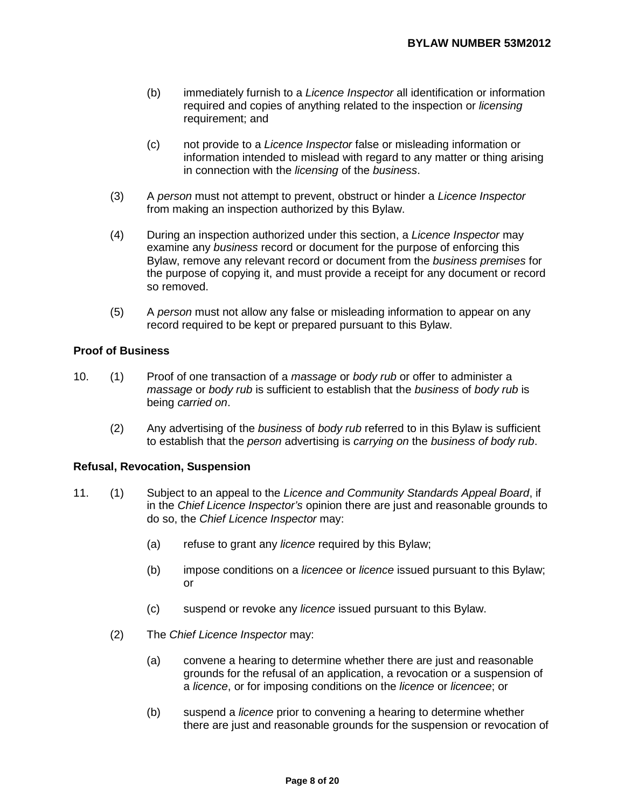- (b) immediately furnish to a *Licence Inspector* all identification or information required and copies of anything related to the inspection or *licensing*  requirement; and
- (c) not provide to a *Licence Inspector* false or misleading information or information intended to mislead with regard to any matter or thing arising in connection with the *licensing* of the *business*.
- (3) A *person* must not attempt to prevent, obstruct or hinder a *Licence Inspector*  from making an inspection authorized by this Bylaw.
- (4) During an inspection authorized under this section, a *Licence Inspector* may examine any *business* record or document for the purpose of enforcing this Bylaw, remove any relevant record or document from the *business premises* for the purpose of copying it, and must provide a receipt for any document or record so removed.
- (5) A *person* must not allow any false or misleading information to appear on any record required to be kept or prepared pursuant to this Bylaw.

# **Proof of Business**

- 10. (1) Proof of one transaction of a *massage* or *body rub* or offer to administer a *massage* or *body rub* is sufficient to establish that the *business* of *body rub* is being *carried on*.
	- (2) Any advertising of the *business* of *body rub* referred to in this Bylaw is sufficient to establish that the *person* advertising is *carrying on* the *business of body rub*.

### **Refusal, Revocation, Suspension**

- 11. (1) Subject to an appeal to the *Licence and Community Standards Appeal Board*, if in the *Chief Licence Inspector's* opinion there are just and reasonable grounds to do so, the *Chief Licence Inspector* may:
	- (a) refuse to grant any *licence* required by this Bylaw;
	- (b) impose conditions on a *licencee* or *licence* issued pursuant to this Bylaw; or
	- (c) suspend or revoke any *licence* issued pursuant to this Bylaw.
	- (2) The *Chief Licence Inspector* may:
		- (a) convene a hearing to determine whether there are just and reasonable grounds for the refusal of an application, a revocation or a suspension of a *licence*, or for imposing conditions on the *licence* or *licencee*; or
		- (b) suspend a *licence* prior to convening a hearing to determine whether there are just and reasonable grounds for the suspension or revocation of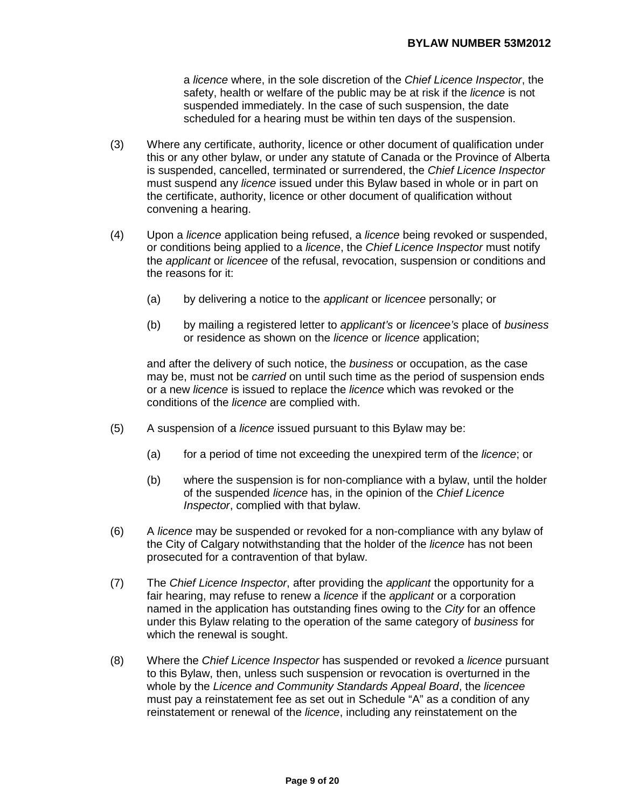a *licence* where, in the sole discretion of the *Chief Licence Inspector*, the safety, health or welfare of the public may be at risk if the *licence* is not suspended immediately. In the case of such suspension, the date scheduled for a hearing must be within ten days of the suspension.

- (3) Where any certificate, authority, licence or other document of qualification under this or any other bylaw, or under any statute of Canada or the Province of Alberta is suspended, cancelled, terminated or surrendered, the *Chief Licence Inspector*  must suspend any *licence* issued under this Bylaw based in whole or in part on the certificate, authority, licence or other document of qualification without convening a hearing.
- (4) Upon a *licence* application being refused, a *licence* being revoked or suspended, or conditions being applied to a *licence*, the *Chief Licence Inspector* must notify the *applicant* or *licencee* of the refusal, revocation, suspension or conditions and the reasons for it:
	- (a) by delivering a notice to the *applicant* or *licencee* personally; or
	- (b) by mailing a registered letter to *applicant's* or *licencee's* place of *business* or residence as shown on the *licence* or *licence* application;

and after the delivery of such notice, the *business* or occupation, as the case may be, must not be *carried* on until such time as the period of suspension ends or a new *licence* is issued to replace the *licence* which was revoked or the conditions of the *licence* are complied with.

- (5) A suspension of a *licence* issued pursuant to this Bylaw may be:
	- (a) for a period of time not exceeding the unexpired term of the *licence*; or
	- (b) where the suspension is for non-compliance with a bylaw, until the holder of the suspended *licence* has, in the opinion of the *Chief Licence Inspector*, complied with that bylaw.
- (6) A *licence* may be suspended or revoked for a non-compliance with any bylaw of the City of Calgary notwithstanding that the holder of the *licence* has not been prosecuted for a contravention of that bylaw.
- (7) The *Chief Licence Inspector*, after providing the *applicant* the opportunity for a fair hearing, may refuse to renew a *licence* if the *applicant* or a corporation named in the application has outstanding fines owing to the *City* for an offence under this Bylaw relating to the operation of the same category of *business* for which the renewal is sought.
- (8) Where the *Chief Licence Inspector* has suspended or revoked a *licence* pursuant to this Bylaw, then, unless such suspension or revocation is overturned in the whole by the *Licence and Community Standards Appeal Board*, the *licencee* must pay a reinstatement fee as set out in Schedule "A" as a condition of any reinstatement or renewal of the *licence*, including any reinstatement on the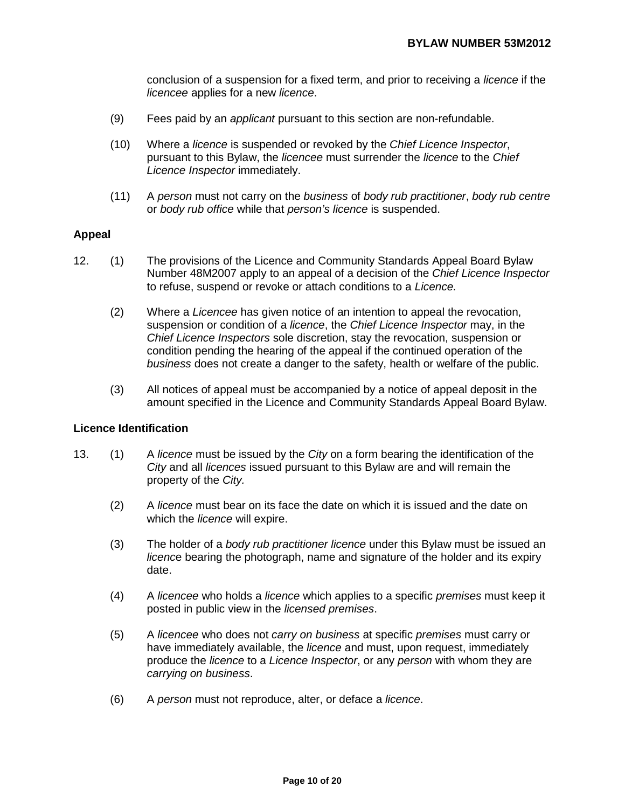conclusion of a suspension for a fixed term, and prior to receiving a *licence* if the *licencee* applies for a new *licence*.

- (9) Fees paid by an *applicant* pursuant to this section are non-refundable.
- (10) Where a *licence* is suspended or revoked by the *Chief Licence Inspector*, pursuant to this Bylaw, the *licencee* must surrender the *licence* to the *Chief Licence Inspector* immediately.
- (11) A *person* must not carry on the *business* of *body rub practitioner*, *body rub centre* or *body rub office* while that *person's licence* is suspended.

#### **Appeal**

- 12. (1) The provisions of the Licence and Community Standards Appeal Board Bylaw Number 48M2007 apply to an appeal of a decision of the *Chief Licence Inspector*  to refuse, suspend or revoke or attach conditions to a *Licence.* 
	- (2) Where a *Licencee* has given notice of an intention to appeal the revocation, suspension or condition of a *licence*, the *Chief Licence Inspector* may, in the *Chief Licence Inspectors* sole discretion, stay the revocation, suspension or condition pending the hearing of the appeal if the continued operation of the *business* does not create a danger to the safety, health or welfare of the public.
	- (3) All notices of appeal must be accompanied by a notice of appeal deposit in the amount specified in the Licence and Community Standards Appeal Board Bylaw.

#### **Licence Identification**

- 13. (1) A *licence* must be issued by the *City* on a form bearing the identification of the *City* and all *licences* issued pursuant to this Bylaw are and will remain the property of the *City.*
	- (2) A *licence* must bear on its face the date on which it is issued and the date on which the *licence* will expire.
	- (3) The holder of a *body rub practitioner licence* under this Bylaw must be issued an *licenc*e bearing the photograph, name and signature of the holder and its expiry date.
	- (4) A *licencee* who holds a *licence* which applies to a specific *premises* must keep it posted in public view in the *licensed premises*.
	- (5) A *licencee* who does not *carry on business* at specific *premises* must carry or have immediately available, the *licence* and must, upon request, immediately produce the *licence* to a *Licence Inspector*, or any *person* with whom they are *carrying on business*.
	- (6) A *person* must not reproduce, alter, or deface a *licence*.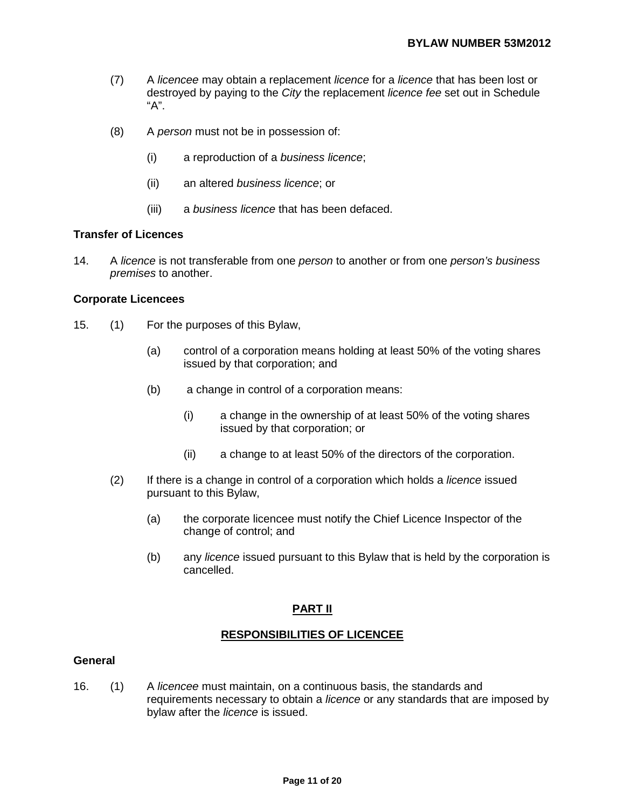- (7) A *licencee* may obtain a replacement *licence* for a *licence* that has been lost or destroyed by paying to the *City* the replacement *licence fee* set out in Schedule "A".
- (8) A *person* must not be in possession of:
	- (i) a reproduction of a *business licence*;
	- (ii) an altered *business licence*; or
	- (iii) a *business licence* that has been defaced.

### **Transfer of Licences**

14. A *licence* is not transferable from one *person* to another or from one *person's business premises* to another.

#### **Corporate Licencees**

- 15. (1) For the purposes of this Bylaw,
	- (a) control of a corporation means holding at least 50% of the voting shares issued by that corporation; and
	- (b) a change in control of a corporation means:
		- (i) a change in the ownership of at least 50% of the voting shares issued by that corporation; or
		- (ii) a change to at least 50% of the directors of the corporation.
	- (2) If there is a change in control of a corporation which holds a *licence* issued pursuant to this Bylaw,
		- (a) the corporate licencee must notify the Chief Licence Inspector of the change of control; and
		- (b) any *licence* issued pursuant to this Bylaw that is held by the corporation is cancelled.

# **PART II**

### **RESPONSIBILITIES OF LICENCEE**

#### **General**

16. (1) A *licencee* must maintain, on a continuous basis, the standards and requirements necessary to obtain a *licence* or any standards that are imposed by bylaw after the *licence* is issued.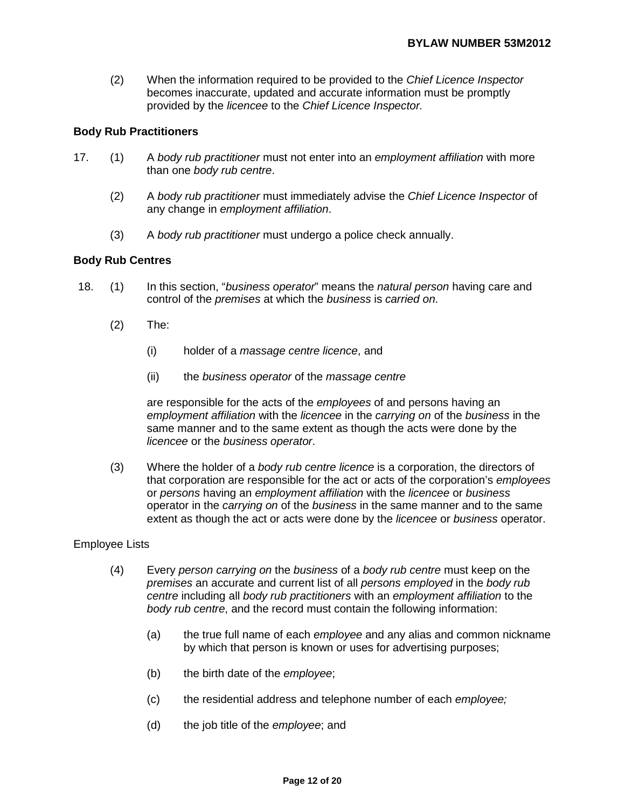(2) When the information required to be provided to the *Chief Licence Inspector*  becomes inaccurate, updated and accurate information must be promptly provided by the *licencee* to the *Chief Licence Inspector.* 

## **Body Rub Practitioners**

- 17. (1) A *body rub practitioner* must not enter into an *employment affiliation* with more than one *body rub centre*.
	- (2) A *body rub practitioner* must immediately advise the *Chief Licence Inspector* of any change in *employment affiliation*.
	- (3) A *body rub practitioner* must undergo a police check annually.

### **Body Rub Centres**

- 18. (1) In this section, "*business operator*" means the *natural person* having care and control of the *premises* at which the *business* is *carried on*.
	- (2) The:
		- (i) holder of a *massage centre licence*, and
		- (ii) the *business operator* of the *massage centre*

are responsible for the acts of the *employees* of and persons having an *employment affiliation* with the *licencee* in the *carrying on* of the *business* in the same manner and to the same extent as though the acts were done by the *licencee* or the *business operator*.

(3) Where the holder of a *body rub centre licence* is a corporation, the directors of that corporation are responsible for the act or acts of the corporation's *employees*  or *persons* having an *employment affiliation* with the *licencee* or *business* operator in the *carrying on* of the *business* in the same manner and to the same extent as though the act or acts were done by the *licencee* or *business* operator.

### Employee Lists

- (4) Every *person carrying on* the *business* of a *body rub centre* must keep on the *premises* an accurate and current list of all *persons employed* in the *body rub centre* including all *body rub practitioners* with an *employment affiliation* to the *body rub centre*, and the record must contain the following information:
	- (a) the true full name of each *employee* and any alias and common nickname by which that person is known or uses for advertising purposes;
	- (b) the birth date of the *employee*;
	- (c) the residential address and telephone number of each *employee;*
	- (d) the job title of the *employee*; and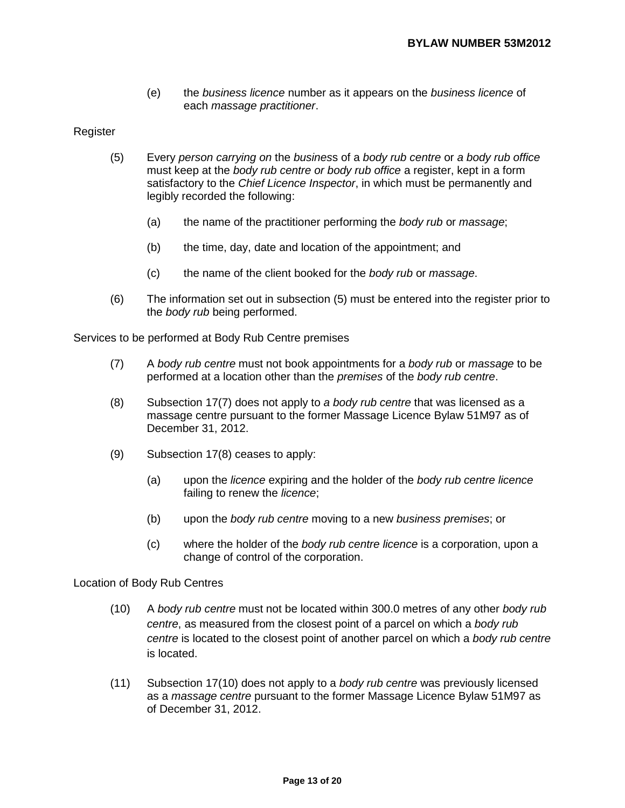(e) the *business licence* number as it appears on the *business licence* of each *massage practitioner*.

#### Register

- (5) Every *person carrying on* the *busines*s of a *body rub centre* or *a body rub office*  must keep at the *body rub centre or body rub office* a register, kept in a form satisfactory to the *Chief Licence Inspector*, in which must be permanently and legibly recorded the following:
	- (a) the name of the practitioner performing the *body rub* or *massage*;
	- (b) the time, day, date and location of the appointment; and
	- (c) the name of the client booked for the *body rub* or *massage*.
- (6) The information set out in subsection (5) must be entered into the register prior to the *body rub* being performed.

Services to be performed at Body Rub Centre premises

- (7) A *body rub centre* must not book appointments for a *body rub* or *massage* to be performed at a location other than the *premises* of the *body rub centre*.
- (8) Subsection 17(7) does not apply to *a body rub centre* that was licensed as a massage centre pursuant to the former Massage Licence Bylaw 51M97 as of December 31, 2012.
- (9) Subsection 17(8) ceases to apply:
	- (a) upon the *licence* expiring and the holder of the *body rub centre licence* failing to renew the *licence*;
	- (b) upon the *body rub centre* moving to a new *business premises*; or
	- (c) where the holder of the *body rub centre licence* is a corporation, upon a change of control of the corporation.

#### Location of Body Rub Centres

- (10) A *body rub centre* must not be located within 300.0 metres of any other *body rub centre*, as measured from the closest point of a parcel on which a *body rub centre* is located to the closest point of another parcel on which a *body rub centre* is located.
- (11) Subsection 17(10) does not apply to a *body rub centre* was previously licensed as a *massage centre* pursuant to the former Massage Licence Bylaw 51M97 as of December 31, 2012.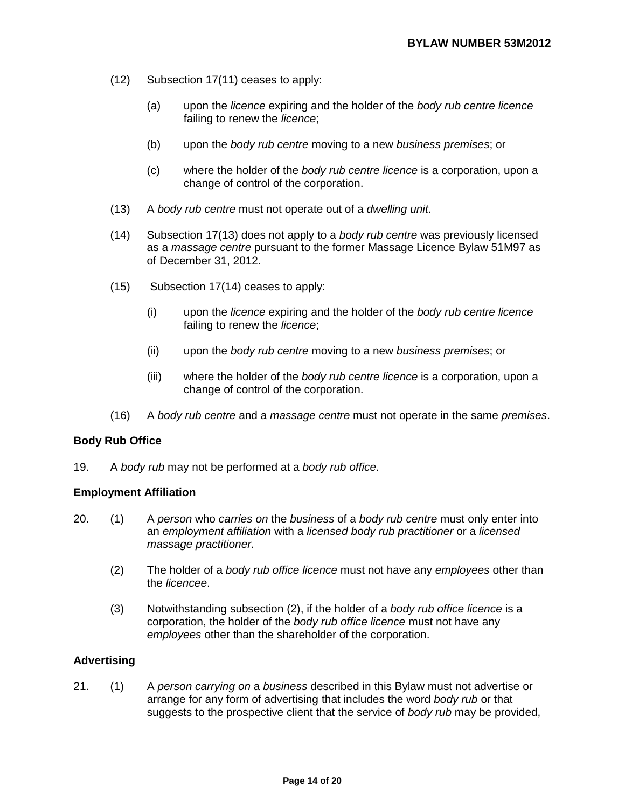- (12) Subsection 17(11) ceases to apply:
	- (a) upon the *licence* expiring and the holder of the *body rub centre licence* failing to renew the *licence*;
	- (b) upon the *body rub centre* moving to a new *business premises*; or
	- (c) where the holder of the *body rub centre licence* is a corporation, upon a change of control of the corporation.
- (13) A *body rub centre* must not operate out of a *dwelling unit*.
- (14) Subsection 17(13) does not apply to a *body rub centre* was previously licensed as a *massage centre* pursuant to the former Massage Licence Bylaw 51M97 as of December 31, 2012.
- (15) Subsection 17(14) ceases to apply:
	- (i) upon the *licence* expiring and the holder of the *body rub centre licence* failing to renew the *licence*;
	- (ii) upon the *body rub centre* moving to a new *business premises*; or
	- (iii) where the holder of the *body rub centre licence* is a corporation, upon a change of control of the corporation.
- (16) A *body rub centre* and a *massage centre* must not operate in the same *premises*.

### **Body Rub Office**

19. A *body rub* may not be performed at a *body rub office*.

### **Employment Affiliation**

- 20. (1) A *person* who *carries on* the *business* of a *body rub centre* must only enter into an *employment affiliation* with a *licensed body rub practitioner* or a *licensed massage practitioner*.
	- (2) The holder of a *body rub office licence* must not have any *employees* other than the *licencee*.
	- (3) Notwithstanding subsection (2), if the holder of a *body rub office licence* is a corporation, the holder of the *body rub office licence* must not have any *employees* other than the shareholder of the corporation.

### **Advertising**

21. (1) A *person carrying on* a *business* described in this Bylaw must not advertise or arrange for any form of advertising that includes the word *body rub* or that suggests to the prospective client that the service of *body rub* may be provided,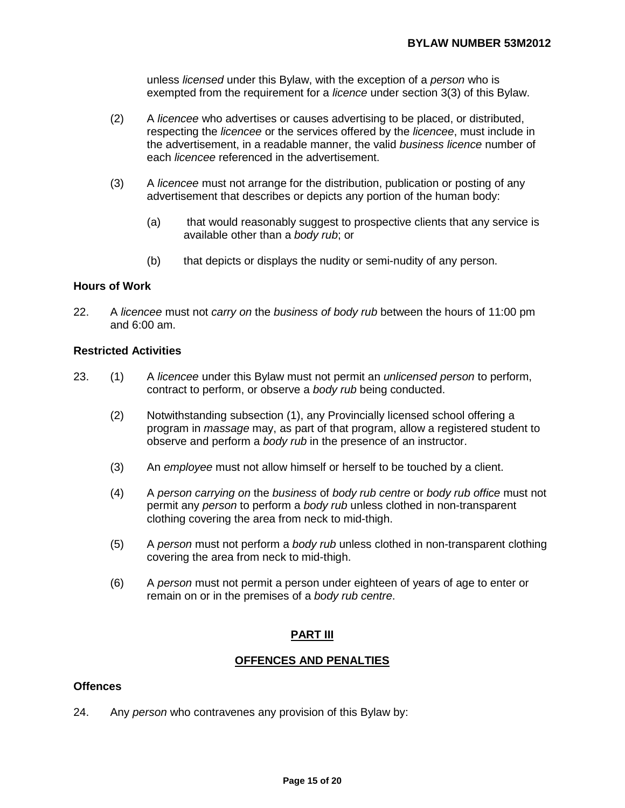unless *licensed* under this Bylaw, with the exception of a *person* who is exempted from the requirement for a *licence* under section 3(3) of this Bylaw.

- (2) A *licencee* who advertises or causes advertising to be placed, or distributed, respecting the *licencee* or the services offered by the *licencee*, must include in the advertisement, in a readable manner, the valid *business licence* number of each *licencee* referenced in the advertisement.
- (3) A *licencee* must not arrange for the distribution, publication or posting of any advertisement that describes or depicts any portion of the human body:
	- (a) that would reasonably suggest to prospective clients that any service is available other than a *body rub*; or
	- (b) that depicts or displays the nudity or semi-nudity of any person.

## **Hours of Work**

22. A *licencee* must not *carry on* the *business of body rub* between the hours of 11:00 pm and 6:00 am.

## **Restricted Activities**

- 23. (1) A *licencee* under this Bylaw must not permit an *unlicensed person* to perform, contract to perform, or observe a *body rub* being conducted.
	- (2) Notwithstanding subsection (1), any Provincially licensed school offering a program in *massage* may, as part of that program, allow a registered student to observe and perform a *body rub* in the presence of an instructor.
	- (3) An *employee* must not allow himself or herself to be touched by a client.
	- (4) A *person carrying on* the *business* of *body rub centre* or *body rub office* must not permit any *person* to perform a *body rub* unless clothed in non-transparent clothing covering the area from neck to mid-thigh.
	- (5) A *person* must not perform a *body rub* unless clothed in non-transparent clothing covering the area from neck to mid-thigh.
	- (6) A *person* must not permit a person under eighteen of years of age to enter or remain on or in the premises of a *body rub centre*.

# **PART III**

# **OFFENCES AND PENALTIES**

## **Offences**

24. Any *person* who contravenes any provision of this Bylaw by: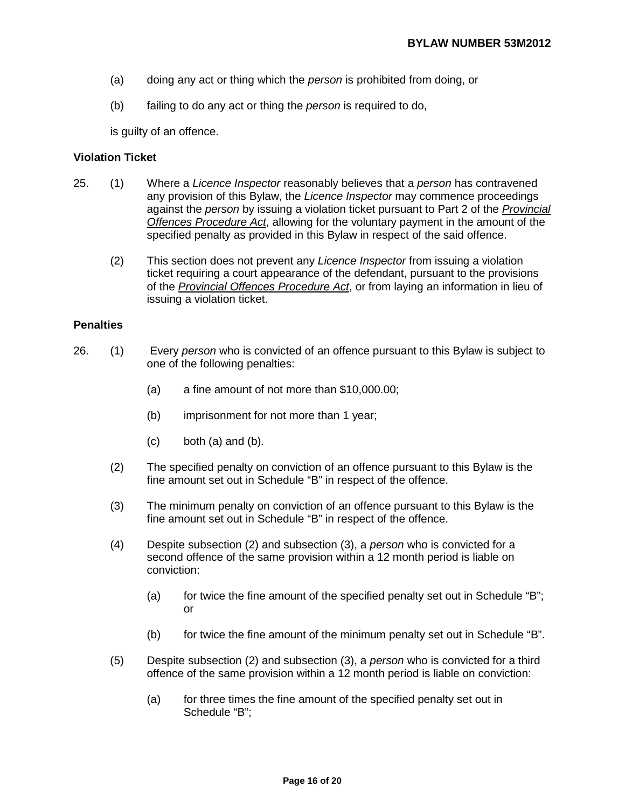- (a) doing any act or thing which the *person* is prohibited from doing, or
- (b) failing to do any act or thing the *person* is required to do,

is guilty of an offence.

## **Violation Ticket**

- 25. (1) Where a *Licence Inspector* reasonably believes that a *person* has contravened any provision of this Bylaw, the *Licence Inspector* may commence proceedings against the *person* by issuing a violation ticket pursuant to Part 2 of the *Provincial Offences Procedure Act*, allowing for the voluntary payment in the amount of the specified penalty as provided in this Bylaw in respect of the said offence.
	- (2) This section does not prevent any *Licence Inspector* from issuing a violation ticket requiring a court appearance of the defendant, pursuant to the provisions of the *Provincial Offences Procedure Act*, or from laying an information in lieu of issuing a violation ticket.

#### **Penalties**

- 26. (1) Every *person* who is convicted of an offence pursuant to this Bylaw is subject to one of the following penalties:
	- (a) a fine amount of not more than \$10,000.00;
	- (b) imprisonment for not more than 1 year;
	- $(c)$  both  $(a)$  and  $(b)$ .
	- (2) The specified penalty on conviction of an offence pursuant to this Bylaw is the fine amount set out in Schedule "B" in respect of the offence.
	- (3) The minimum penalty on conviction of an offence pursuant to this Bylaw is the fine amount set out in Schedule "B" in respect of the offence.
	- (4) Despite subsection (2) and subsection (3), a *person* who is convicted for a second offence of the same provision within a 12 month period is liable on conviction:
		- (a) for twice the fine amount of the specified penalty set out in Schedule  $B$ "; or
		- (b) for twice the fine amount of the minimum penalty set out in Schedule "B".
	- (5) Despite subsection (2) and subsection (3), a *person* who is convicted for a third offence of the same provision within a 12 month period is liable on conviction:
		- (a) for three times the fine amount of the specified penalty set out in Schedule "B";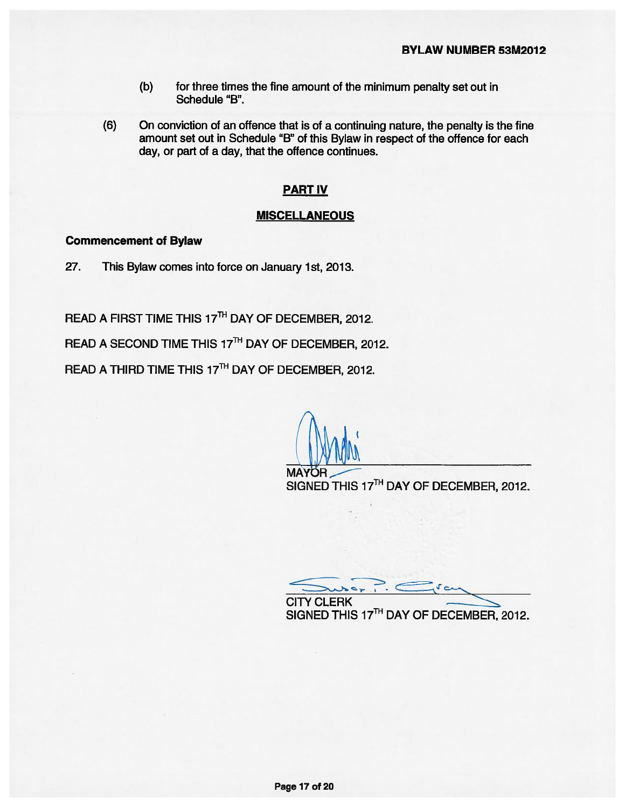- $(b)$ for three times the fine amount of the minimum penalty set out in Schedule "B".
- $(6)$ On conviction of an offence that is of a continuing nature, the penalty is the fine amount set out in Schedule "B" of this Bylaw in respect of the offence for each day, or part of a day, that the offence continues.

## **PART IV**

#### **MISCELLANEOUS**

# **Commencement of Bylaw**

27. This Bylaw comes into force on January 1st, 2013.

READ A FIRST TIME THIS 17TH DAY OF DECEMBER, 2012.

READ A SECOND TIME THIS 17TH DAY OF DECEMBER, 2012.

READ A THIRD TIME THIS 17TH DAY OF DECEMBER, 2012.

**MAYO** 

SIGNED THIS 17TH DAY OF DECEMBER, 2012.

 $10<$ **CITY CLERK** SIGNED THIS 17TH DAY OF DECEMBER, 2012.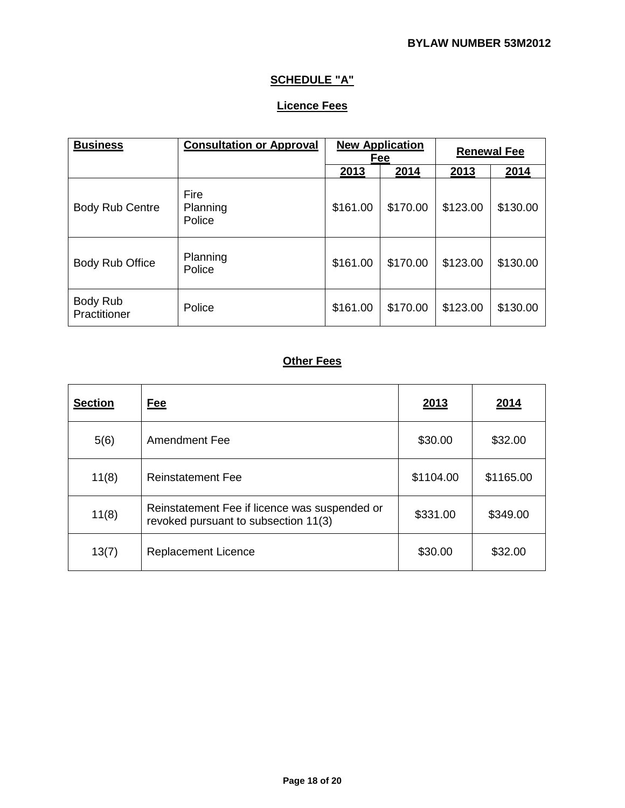# **SCHEDULE "A"**

# **Licence Fees**

| <b>Business</b>          | <b>Consultation or Approval</b> | <b>New Application</b><br>Fee |          | <b>Renewal Fee</b> |          |
|--------------------------|---------------------------------|-------------------------------|----------|--------------------|----------|
|                          |                                 | 2013                          | 2014     | 2013               | 2014     |
| <b>Body Rub Centre</b>   | Fire<br>Planning<br>Police      | \$161.00                      | \$170.00 | \$123.00           | \$130.00 |
| Body Rub Office          | Planning<br>Police              | \$161.00                      | \$170.00 | \$123.00           | \$130.00 |
| Body Rub<br>Practitioner | Police                          | \$161.00                      | \$170.00 | \$123.00           | \$130.00 |

# **Other Fees**

| <b>Section</b> | <u>Fee</u>                                                                            | 2013      | 2014      |
|----------------|---------------------------------------------------------------------------------------|-----------|-----------|
| 5(6)           | Amendment Fee                                                                         | \$30.00   | \$32.00   |
| 11(8)          | <b>Reinstatement Fee</b>                                                              | \$1104.00 | \$1165.00 |
| 11(8)          | Reinstatement Fee if licence was suspended or<br>revoked pursuant to subsection 11(3) | \$331.00  | \$349.00  |
| 13(7)          | <b>Replacement Licence</b>                                                            | \$30.00   | \$32.00   |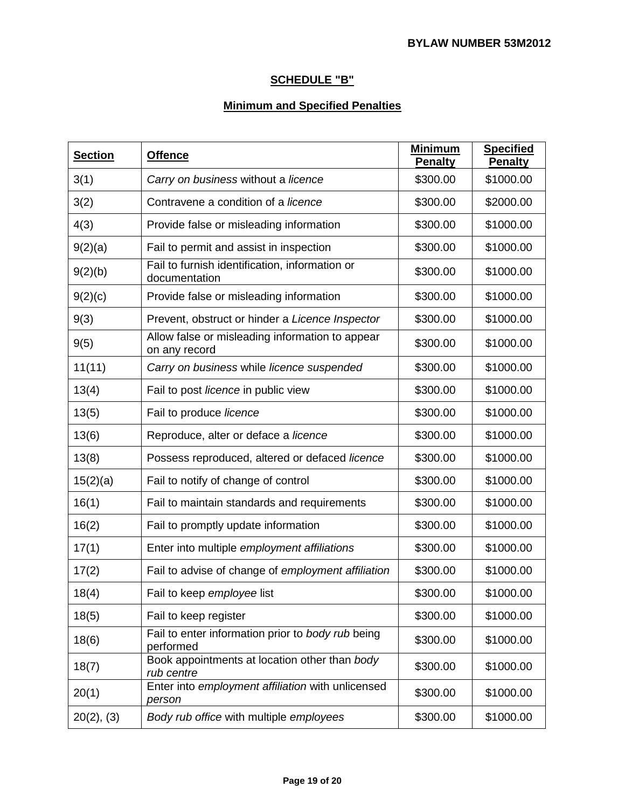# **SCHEDULE "B"**

# **Minimum and Specified Penalties**

| <b>Section</b>  | <b>Offence</b>                                                   | <b>Minimum</b><br>Penalty | <b>Specified</b><br><b>Penalty</b> |
|-----------------|------------------------------------------------------------------|---------------------------|------------------------------------|
| 3(1)            | Carry on business without a licence                              | \$300.00                  | \$1000.00                          |
| 3(2)            | Contravene a condition of a <i>licence</i>                       | \$300.00                  | \$2000.00                          |
| 4(3)            | Provide false or misleading information                          | \$300.00                  | \$1000.00                          |
| 9(2)(a)         | Fail to permit and assist in inspection                          | \$300.00                  | \$1000.00                          |
| 9(2)(b)         | Fail to furnish identification, information or<br>documentation  | \$300.00                  | \$1000.00                          |
| 9(2)(c)         | Provide false or misleading information                          | \$300.00                  | \$1000.00                          |
| 9(3)            | Prevent, obstruct or hinder a Licence Inspector                  | \$300.00                  | \$1000.00                          |
| 9(5)            | Allow false or misleading information to appear<br>on any record | \$300.00                  | \$1000.00                          |
| 11(11)          | Carry on business while licence suspended                        | \$300.00                  | \$1000.00                          |
| 13(4)           | Fail to post licence in public view                              | \$300.00                  | \$1000.00                          |
| 13(5)           | Fail to produce licence                                          | \$300.00                  | \$1000.00                          |
| 13(6)           | Reproduce, alter or deface a licence                             | \$300.00                  | \$1000.00                          |
| 13(8)           | Possess reproduced, altered or defaced licence                   | \$300.00                  | \$1000.00                          |
| 15(2)(a)        | Fail to notify of change of control                              | \$300.00                  | \$1000.00                          |
| 16(1)           | Fail to maintain standards and requirements                      | \$300.00                  | \$1000.00                          |
| 16(2)           | Fail to promptly update information                              | \$300.00                  | \$1000.00                          |
| 17(1)           | Enter into multiple employment affiliations                      | \$300.00                  | \$1000.00                          |
| 17(2)           | Fail to advise of change of employment affiliation               | \$300.00                  | \$1000.00                          |
| 18(4)           | Fail to keep employee list                                       | \$300.00                  | \$1000.00                          |
| 18(5)           | Fail to keep register                                            | \$300.00                  | \$1000.00                          |
| 18(6)           | Fail to enter information prior to body rub being<br>performed   | \$300.00                  | \$1000.00                          |
| 18(7)           | Book appointments at location other than body<br>rub centre      | \$300.00                  | \$1000.00                          |
| 20(1)           | Enter into employment affiliation with unlicensed<br>person      | \$300.00                  | \$1000.00                          |
| $20(2)$ , $(3)$ | Body rub office with multiple employees                          | \$300.00                  | \$1000.00                          |